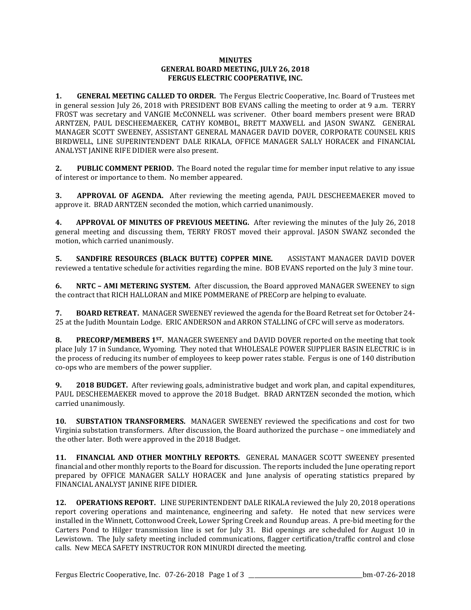## **MINUTES GENERAL BOARD MEETING, JULY 26, 2018 FERGUS ELECTRIC COOPERATIVE, INC.**

**1. GENERAL MEETING CALLED TO ORDER.** The Fergus Electric Cooperative, Inc. Board of Trustees met in general session July 26, 2018 with PRESIDENT BOB EVANS calling the meeting to order at 9 a.m. TERRY FROST was secretary and VANGIE McCONNELL was scrivener. Other board members present were BRAD ARNTZEN, PAUL DESCHEEMAEKER, CATHY KOMBOL, BRETT MAXWELL and JASON SWANZ. GENERAL MANAGER SCOTT SWEENEY, ASSISTANT GENERAL MANAGER DAVID DOVER, CORPORATE COUNSEL KRIS BIRDWELL, LINE SUPERINTENDENT DALE RIKALA, OFFICE MANAGER SALLY HORACEK and FINANCIAL ANALYST JANINE RIFE DIDIER were also present.

**2. PUBLIC COMMENT PERIOD.** The Board noted the regular time for member input relative to any issue of interest or importance to them. No member appeared.

**3. APPROVAL OF AGENDA.** After reviewing the meeting agenda, PAUL DESCHEEMAEKER moved to approve it. BRAD ARNTZEN seconded the motion, which carried unanimously.

**4. APPROVAL OF MINUTES OF PREVIOUS MEETING.** After reviewing the minutes of the July 26, 2018 general meeting and discussing them, TERRY FROST moved their approval. JASON SWANZ seconded the motion, which carried unanimously.

**5. SANDFIRE RESOURCES (BLACK BUTTE) COPPER MINE.** ASSISTANT MANAGER DAVID DOVER reviewed a tentative schedule for activities regarding the mine. BOB EVANS reported on the July 3 mine tour.

**6. NRTC – AMI METERING SYSTEM.** After discussion, the Board approved MANAGER SWEENEY to sign the contract that RICH HALLORAN and MIKE POMMERANE of PRECorp are helping to evaluate.

**7. BOARD RETREAT.** MANAGER SWEENEY reviewed the agenda for the Board Retreat set for October 24- 25 at the Judith Mountain Lodge. ERIC ANDERSON and ARRON STALLING of CFC will serve as moderators.

**8. PRECORP/MEMBERS 1ST.** MANAGER SWEENEY and DAVID DOVER reported on the meeting that took place July 17 in Sundance, Wyoming. They noted that WHOLESALE POWER SUPPLIER BASIN ELECTRIC is in the process of reducing its number of employees to keep power rates stable. Fergus is one of 140 distribution co-ops who are members of the power supplier.

**9. 2018 BUDGET.** After reviewing goals, administrative budget and work plan, and capital expenditures, PAUL DESCHEEMAEKER moved to approve the 2018 Budget. BRAD ARNTZEN seconded the motion, which carried unanimously.

**10. SUBSTATION TRANSFORMERS.** MANAGER SWEENEY reviewed the specifications and cost for two Virginia substation transformers. After discussion, the Board authorized the purchase – one immediately and the other later. Both were approved in the 2018 Budget.

**11. FINANCIAL AND OTHER MONTHLY REPORTS.** GENERAL MANAGER SCOTT SWEENEY presented financial and other monthly reports to the Board for discussion. The reports included the June operating report prepared by OFFICE MANAGER SALLY HORACEK and June analysis of operating statistics prepared by FINANCIAL ANALYST JANINE RIFE DIDIER.

**12. OPERATIONS REPORT.** LINE SUPERINTENDENT DALE RIKALA reviewed the July 20, 2018 operations report covering operations and maintenance, engineering and safety. He noted that new services were installed in the Winnett, Cottonwood Creek, Lower Spring Creek and Roundup areas. A pre-bid meeting for the Carters Pond to Hilger transmission line is set for July 31. Bid openings are scheduled for August 10 in Lewistown. The July safety meeting included communications, flagger certification/traffic control and close calls. New MECA SAFETY INSTRUCTOR RON MINURDI directed the meeting.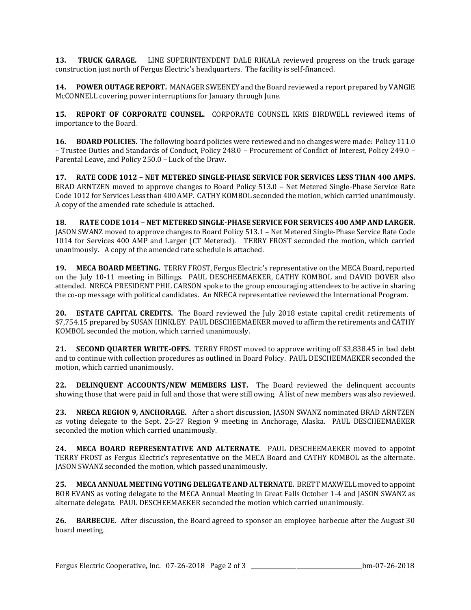**13. TRUCK GARAGE.** LINE SUPERINTENDENT DALE RIKALA reviewed progress on the truck garage construction just north of Fergus Electric's headquarters. The facility is self-financed.

**14. POWER OUTAGE REPORT.** MANAGER SWEENEY and the Board reviewed a report prepared by VANGIE McCONNELL covering power interruptions for January through June.

**15. REPORT OF CORPORATE COUNSEL.** CORPORATE COUNSEL KRIS BIRDWELL reviewed items of importance to the Board.

**16. BOARD POLICIES.** The following board policies were reviewed and no changes were made: Policy 111.0 – Trustee Duties and Standards of Conduct, Policy 248.0 – Procurement of Conflict of Interest, Policy 249.0 – Parental Leave, and Policy 250.0 – Luck of the Draw.

**17. RATE CODE 1012 – NET METERED SINGLE-PHASE SERVICE FOR SERVICES LESS THAN 400 AMPS.** BRAD ARNTZEN moved to approve changes to Board Policy 513.0 – Net Metered Single-Phase Service Rate Code 1012 for Services Less than 400 AMP. CATHY KOMBOL seconded the motion, which carried unanimously. A copy of the amended rate schedule is attached.

**18. RATE CODE 1014 – NET METERED SINGLE-PHASE SERVICE FOR SERVICES 400 AMP AND LARGER.**  JASON SWANZ moved to approve changes to Board Policy 513.1 – Net Metered Single-Phase Service Rate Code 1014 for Services 400 AMP and Larger (CT Metered). TERRY FROST seconded the motion, which carried unanimously. A copy of the amended rate schedule is attached.

**19. MECA BOARD MEETING.** TERRY FROST, Fergus Electric's representative on the MECA Board, reported on the July 10-11 meeting in Billings. PAUL DESCHEEMAEKER, CATHY KOMBOL and DAVID DOVER also attended. NRECA PRESIDENT PHIL CARSON spoke to the group encouraging attendees to be active in sharing the co-op message with political candidates. An NRECA representative reviewed the International Program.

**20. ESTATE CAPITAL CREDITS.** The Board reviewed the July 2018 estate capital credit retirements of \$7,754.15 prepared by SUSAN HINKLEY. PAUL DESCHEEMAEKER moved to affirm the retirements and CATHY KOMBOL seconded the motion, which carried unanimously.

**21. SECOND QUARTER WRITE-OFFS.** TERRY FROST moved to approve writing off \$3,838.45 in bad debt and to continue with collection procedures as outlined in Board Policy. PAUL DESCHEEMAEKER seconded the motion, which carried unanimously.

**22. DELINQUENT ACCOUNTS/NEW MEMBERS LIST.** The Board reviewed the delinquent accounts showing those that were paid in full and those that were still owing. A list of new members was also reviewed.

**23. NRECA REGION 9, ANCHORAGE.** After a short discussion, JASON SWANZ nominated BRAD ARNTZEN as voting delegate to the Sept. 25-27 Region 9 meeting in Anchorage, Alaska. PAUL DESCHEEMAEKER seconded the motion which carried unanimously.

**24. MECA BOARD REPRESENTATIVE AND ALTERNATE.** PAUL DESCHEEMAEKER moved to appoint TERRY FROST as Fergus Electric's representative on the MECA Board and CATHY KOMBOL as the alternate. JASON SWANZ seconded the motion, which passed unanimously.

**25. MECA ANNUAL MEETING VOTING DELEGATE AND ALTERNATE.** BRETT MAXWELL moved to appoint BOB EVANS as voting delegate to the MECA Annual Meeting in Great Falls October 1-4 and JASON SWANZ as alternate delegate. PAUL DESCHEEMAEKER seconded the motion which carried unanimously.

**26. BARBECUE.** After discussion, the Board agreed to sponsor an employee barbecue after the August 30 board meeting.